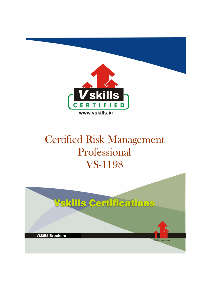

# Certified Risk Management Professional VS-1198

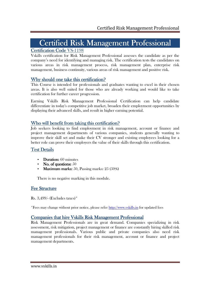# Certified Risk Management Professional

### Certification Code VS-1198

Vskills certification for Risk Management Professional assesses the candidate as per the company's need for identifying and managing risk. The certification tests the candidates on various areas in risk management process, risk management plan, enterprise risk management, business continuity, various areas of risk management and positive risk.

### Why should one take this certification?

This Course is intended for professionals and graduates wanting to excel in their chosen areas. It is also well suited for those who are already working and would like to take certification for further career progression.

Earning Vskills Risk Management Professional Certification can help candidate differentiate in today's competitive job market, broaden their employment opportunities by displaying their advanced skills, and result in higher earning potential.

#### Who will benefit from taking this certification?

Job seekers looking to find employment in risk management, account or finance and project management departments of various companies, students generally wanting to improve their skill set and make their CV stronger and existing employees looking for a better role can prove their employers the value of their skills through this certification.

#### Test Details

- Duration:  $60$  minutes
- $\mathbf{N}$ o. of questions:  $50$
- Maximum marks:  $50$ , Passing marks:  $25(50%)$

There is no negative marking in this module.

#### **Fee Structure**

Rs. 3,499/- (Excludes taxes)\*

\*Fees may change without prior notice, please refer http://www.vskills.in for updated fees

#### Companies that hire Vskills Risk Management Professional

Risk Management Professionals are in great demand. Companies specializing in risk assessment, risk mitigation, project management or finance are constantly hiring skilled risk management professionals. Various public and private companies also need risk management professionals for their risk management, account or finance and project management departments.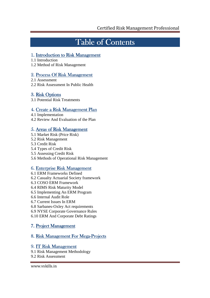## Table of Contents

### 1. Introduction to Risk Management

1.1 Introduction

1.2 Method of Risk Management

### 2. Process Of Risk Management

2.1 Assessment

2.2 Risk Assessment In Public Health

## 3. Risk Options

3.1 Potential Risk Treatments

## 4. Create a Risk Management Plan

4.1 Implementation

4.2 Review And Evaluation of the Plan

## 5. Areas of Risk Management

- 5.1 Market Risk (Price Risk)
- 5.2 Risk Management
- 5.3 Credit Risk

#### 5.4 Types of Credit Risk

- 5.5 Assessing Credit Risk
- 5.6 Methods of Operational Risk Management

### 6. Enterprise Risk Management

- 6.1 ERM Frameworks Defined 6.2 Casualty Actuarial Society framework 6.3 COSO ERM Framework 6.4 RIMS Risk Maturity Model 6.5 Implementing An ERM Program 6.6 Internal Audit Role 6.7 Current Issues In ERM 6.8 Sarbanes-Oxley Act requirements
- 6.9 NYSE Corporate Governance Rules
- 6.10 ERM And Corporate Debt Ratings

## 7. Project Management

## 8. Risk Management For Mega-Projects

### 9. IT Risk Management

- 9.1 Risk Management Methodology
- 9.2 Risk Assessment

www.vskills.in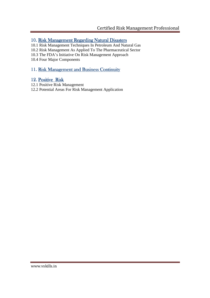### 10. Risk Management Regarding Natural Disasters

- 10.1 Risk Management Techniques In Petroleum And Natural Gas
- 10.2 Risk Management As Applied To The Pharmaceutical Sector
- 10.3 The FDA's Initiative On Risk Management Approach

10.4 Four Major Components

## 11. Risk Management and Business Continuity

### 12. Positive Risk

- 12.1 Positive Risk Management
- 12.2 Potential Areas For Risk Management Application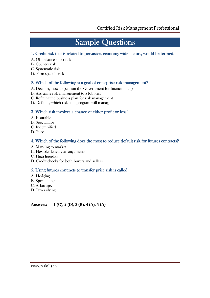## **Sample Questions**

### 1. Credit risk that is related to pervasive, economy-wide factors, would be termed.

- A. Off balance sheet risk
- B. Country risk
- C. Systematic risk
- D. Firm specific risk

#### 2. Which of the following is a goal of enterprise risk management?

- A. Deciding how to petition the Government for financial help
- B. Assigning risk management to a lobbyist
- C. Refining the business plan for risk management
- D. Defining which risks the program will manage

#### 3. Which risk involves a chance of either profit or loss?

- A. Insurable
- B. Speculative
- C. Indemnified
- D. Pure

### 4. Which of the following does the most to reduce default risk for futures contracts?

- A. Marking to market
- B. Flexible delivery arrangements
- C. High liquidity
- D. Credit checks for both buyers and sellers.

### 5. Using futures contracts to transfer price risk is called

- A. Hedging.
- B. Speculating.
- C. Arbitrage.
- D. Diversifying.

**Answers: 1 (C), 2 (D), 3 (B), 4 (A), 5 (A)**